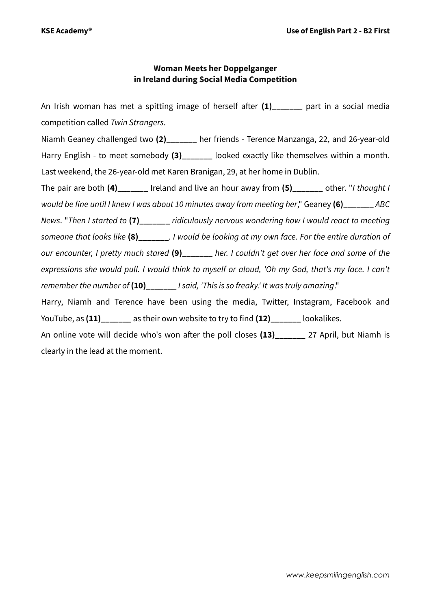## **Woman Meets her Doppelganger in Ireland during Social Media Competition**

An Irish woman has met a spitting image of herself after (1) part in a social media competition called *Twin Strangers*. Niamh Geaney challenged two **(2)\_\_\_\_\_\_\_** her friends - Terence Manzanga, 22, and 26-year-old Harry English - to meet somebody (3) looked exactly like themselves within a month. Last weekend, the 26-year-old met Karen Branigan, 29, at her home in Dublin. The pair are both **(4)** Ireland and live an hour away from **(5)** other. "*I thought I would be fine until I knew I was about 10 minutes away from meeting her*," Geaney **(6)\_\_\_\_\_\_\_** *ABC News*. "*Then I started to* **(7)\_\_\_\_\_\_\_** *ridiculously nervous wondering how I would react to meeting someone that looks like* **(8)\_\_\_\_\_\_\_***. I would be looking at my own face. For the entire duration of our encounter, I pretty much stared* **(9)\_\_\_\_\_\_\_** *her. I couldn't get over her face and some of the expressions she would pull. I would think to myself or aloud, 'Oh my God, that's my face. I can't remember the number of* **(10)\_\_\_\_\_\_\_** *I said, 'This is so freaky.' It was truly amazing*." Harry, Niamh and Terence have been using the media, Twitter, Instagram, Facebook and YouTube, as **(11)\_\_\_\_\_\_\_** as their own website to try to find **(12)\_\_\_\_\_\_\_** lookalikes. An online vote will decide who's won after the poll closes (13) 27 April, but Niamh is clearly in the lead at the moment.